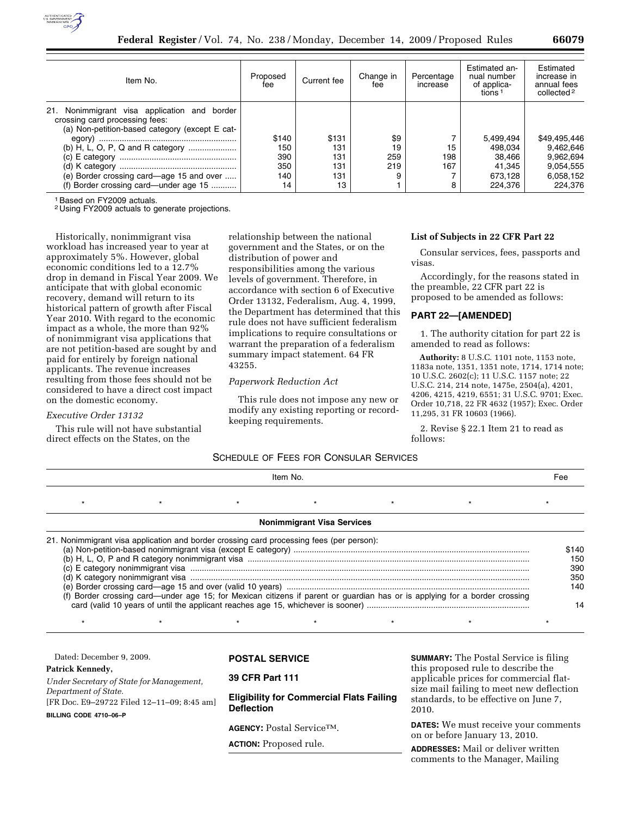

| Item No.                                                                                                                                                                                                                 | Proposed<br>fee                         | Current fee                             | Change in<br>fee        | Percentage<br>increase | Estimated an-<br>nual number<br>of applica-<br>tions <sup>1</sup> | Estimated<br>increase in<br>annual fees<br>collected <sup>2</sup>           |
|--------------------------------------------------------------------------------------------------------------------------------------------------------------------------------------------------------------------------|-----------------------------------------|-----------------------------------------|-------------------------|------------------------|-------------------------------------------------------------------|-----------------------------------------------------------------------------|
| 21.<br>Nonimmigrant visa application and border<br>crossing card processing fees:<br>(a) Non-petition-based category (except E cat-<br>(e) Border crossing card—age 15 and over<br>(f) Border crossing card—under age 15 | \$140<br>150<br>390<br>350<br>140<br>14 | \$131<br>131<br>131<br>131<br>131<br>13 | \$9<br>19<br>259<br>219 | 15<br>198<br>167<br>8  | 5.499.494<br>498.034<br>38.466<br>41.345<br>673.128<br>224.376    | \$49,495,446<br>9.462.646<br>9,962,694<br>9.054.555<br>6,058,152<br>224.376 |

1Based on FY2009 actuals.

2 Using FY2009 actuals to generate projections.

Historically, nonimmigrant visa workload has increased year to year at approximately 5%. However, global economic conditions led to a 12.7% drop in demand in Fiscal Year 2009. We anticipate that with global economic recovery, demand will return to its historical pattern of growth after Fiscal Year 2010. With regard to the economic impact as a whole, the more than 92% of nonimmigrant visa applications that are not petition-based are sought by and paid for entirely by foreign national applicants. The revenue increases resulting from those fees should not be considered to have a direct cost impact on the domestic economy.

#### *Executive Order 13132*

This rule will not have substantial direct effects on the States, on the

relationship between the national government and the States, or on the distribution of power and responsibilities among the various levels of government. Therefore, in accordance with section 6 of Executive Order 13132, Federalism, Aug. 4, 1999, the Department has determined that this rule does not have sufficient federalism implications to require consultations or warrant the preparation of a federalism summary impact statement. 64 FR 43255.

## *Paperwork Reduction Act*

This rule does not impose any new or modify any existing reporting or recordkeeping requirements.

## **List of Subjects in 22 CFR Part 22**

Consular services, fees, passports and visas.

Accordingly, for the reasons stated in the preamble, 22 CFR part 22 is proposed to be amended as follows:

#### **PART 22—[AMENDED]**

1. The authority citation for part 22 is amended to read as follows:

**Authority:** 8 U.S.C. 1101 note, 1153 note, 1183a note, 1351, 1351 note, 1714, 1714 note; 10 U.S.C. 2602(c); 11 U.S.C. 1157 note; 22 U.S.C. 214, 214 note, 1475e, 2504(a), 4201, 4206, 4215, 4219, 6551; 31 U.S.C. 9701; Exec. Order 10,718, 22 FR 4632 (1957); Exec. Order 11,295, 31 FR 10603 (1966).

2. Revise § 22.1 Item 21 to read as follows:

## SCHEDULE OF FEES FOR CONSULAR SERVICES

| Item No. |                                                                                          |  | Fee                               |                                                                                                                            |  |                                   |
|----------|------------------------------------------------------------------------------------------|--|-----------------------------------|----------------------------------------------------------------------------------------------------------------------------|--|-----------------------------------|
|          |                                                                                          |  |                                   |                                                                                                                            |  |                                   |
|          |                                                                                          |  | <b>Nonimmigrant Visa Services</b> |                                                                                                                            |  |                                   |
|          | 21. Nonimmigrant visa application and border crossing card processing fees (per person): |  |                                   | (f) Border crossing card—under age 15; for Mexican citizens if parent or guardian has or is applying for a border crossing |  | \$140<br>150<br>390<br>350<br>140 |

| Dated: December 9, 2009.                                           | <b>POSTAL SERVICE</b>                                                | <b>SUMMARY:</b> The Postal Service is filing                                               |
|--------------------------------------------------------------------|----------------------------------------------------------------------|--------------------------------------------------------------------------------------------|
| Patrick Kennedy,<br>Under Secretary of State for Management,       | 39 CFR Part 111                                                      | this proposed rule to describe the<br>applicable prices for commercial flat-               |
| Department of State.<br>[FR Doc. E9-29722 Filed 12-11-09; 8:45 am] | <b>Eligibility for Commercial Flats Failing</b><br><b>Deflection</b> | size mail failing to meet new deflection<br>standards, to be effective on June 7,<br>2010. |
| BILLING CODE 4710-06-P                                             | AGENCY: Postal Service <sup>TM</sup> .                               | <b>DATES:</b> We must receive your comments<br>on or hefore January 13, 2010               |

\* \* \* \* \* \* \* \* \* \* \* \* \* \* \*

**ACTION:** Proposed rule.

on or before January 13, 2010.

**ADDRESSES:** Mail or deliver written comments to the Manager, Mailing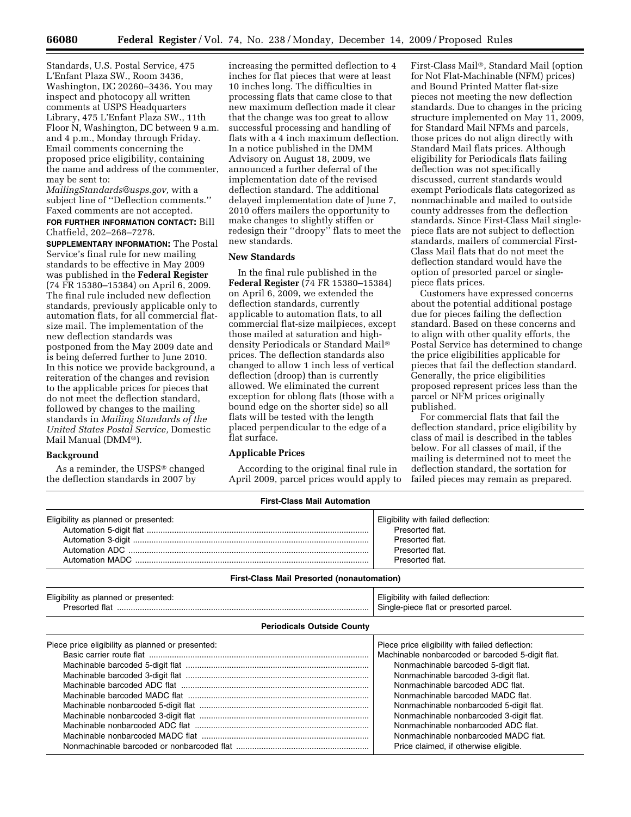Standards, U.S. Postal Service, 475 L'Enfant Plaza SW., Room 3436, Washington, DC 20260–3436. You may inspect and photocopy all written comments at USPS Headquarters Library, 475 L'Enfant Plaza SW., 11th Floor N, Washington, DC between 9 a.m. and 4 p.m., Monday through Friday. Email comments concerning the proposed price eligibility, containing the name and address of the commenter, may be sent to:

*MailingStandards@usps.gov,* with a subject line of ''Deflection comments.'' Faxed comments are not accepted. **FOR FURTHER INFORMATION CONTACT:** Bill Chatfield, 202–268–7278.

**SUPPLEMENTARY INFORMATION:** The Postal Service's final rule for new mailing standards to be effective in May 2009 was published in the **Federal Register**  (74 FR 15380–15384) on April 6, 2009. The final rule included new deflection standards, previously applicable only to automation flats, for all commercial flatsize mail. The implementation of the new deflection standards was postponed from the May 2009 date and is being deferred further to June 2010. In this notice we provide background, a reiteration of the changes and revision to the applicable prices for pieces that do not meet the deflection standard, followed by changes to the mailing standards in *Mailing Standards of the United States Postal Service,* Domestic Mail Manual (DMM®).

#### **Background**

As a reminder, the USPS® changed the deflection standards in 2007 by

increasing the permitted deflection to 4 inches for flat pieces that were at least 10 inches long. The difficulties in processing flats that came close to that new maximum deflection made it clear that the change was too great to allow successful processing and handling of flats with a 4 inch maximum deflection. In a notice published in the DMM Advisory on August 18, 2009, we announced a further deferral of the implementation date of the revised deflection standard. The additional delayed implementation date of June 7, 2010 offers mailers the opportunity to make changes to slightly stiffen or redesign their ''droopy'' flats to meet the new standards.

### **New Standards**

In the final rule published in the **Federal Register** (74 FR 15380–15384) on April 6, 2009, we extended the deflection standards, currently applicable to automation flats, to all commercial flat-size mailpieces, except those mailed at saturation and highdensity Periodicals or Standard Mail® prices. The deflection standards also changed to allow 1 inch less of vertical deflection (droop) than is currently allowed. We eliminated the current exception for oblong flats (those with a bound edge on the shorter side) so all flats will be tested with the length placed perpendicular to the edge of a flat surface.

### **Applicable Prices**

According to the original final rule in April 2009, parcel prices would apply to

First-Class Mail®, Standard Mail (option for Not Flat-Machinable (NFM) prices) and Bound Printed Matter flat-size pieces not meeting the new deflection standards. Due to changes in the pricing structure implemented on May 11, 2009, for Standard Mail NFMs and parcels, those prices do not align directly with Standard Mail flats prices. Although eligibility for Periodicals flats failing deflection was not specifically discussed, current standards would exempt Periodicals flats categorized as nonmachinable and mailed to outside county addresses from the deflection standards. Since First-Class Mail singlepiece flats are not subject to deflection standards, mailers of commercial First-Class Mail flats that do not meet the deflection standard would have the option of presorted parcel or singlepiece flats prices.

Customers have expressed concerns about the potential additional postage due for pieces failing the deflection standard. Based on these concerns and to align with other quality efforts, the Postal Service has determined to change the price eligibilities applicable for pieces that fail the deflection standard. Generally, the price eligibilities proposed represent prices less than the parcel or NFM prices originally published.

For commercial flats that fail the deflection standard, price eligibility by class of mail is described in the tables below. For all classes of mail, if the mailing is determined not to meet the deflection standard, the sortation for failed pieces may remain as prepared.

| <b>First-Class Mail Automation</b>   |                                     |  |  |
|--------------------------------------|-------------------------------------|--|--|
| Eligibility as planned or presented: | Eligibility with failed deflection: |  |  |
|                                      | Presorted flat.                     |  |  |
|                                      | Presorted flat.                     |  |  |
|                                      | Presorted flat.                     |  |  |
|                                      | Presorted flat.                     |  |  |

#### **First-Class Mail Presorted (nonautomation)**

| Eligibility<br>planned or<br>presented:<br>a۵ | deflection:<br>tailed<br>rاolrـ<br>with<br>parcel.<br>Sinak<br>াlat<br>-piece<br>. or<br>тес<br>. |
|-----------------------------------------------|---------------------------------------------------------------------------------------------------|
|                                               |                                                                                                   |

## **Periodicals Outside County**

| Piece price eligibility as planned or presented: | Piece price eligibility with failed deflection:  |
|--------------------------------------------------|--------------------------------------------------|
|                                                  | Machinable nonbarcoded or barcoded 5-digit flat. |
|                                                  | Nonmachinable barcoded 5-digit flat.             |
|                                                  | Nonmachinable barcoded 3-digit flat.             |
|                                                  | Nonmachinable barcoded ADC flat.                 |
|                                                  | Nonmachinable barcoded MADC flat.                |
|                                                  | Nonmachinable nonbarcoded 5-digit flat.          |
|                                                  | Nonmachinable nonbarcoded 3-digit flat.          |
|                                                  | Nonmachinable nonbarcoded ADC flat.              |
|                                                  | Nonmachinable nonbarcoded MADC flat.             |
|                                                  | Price claimed, if otherwise eligible.            |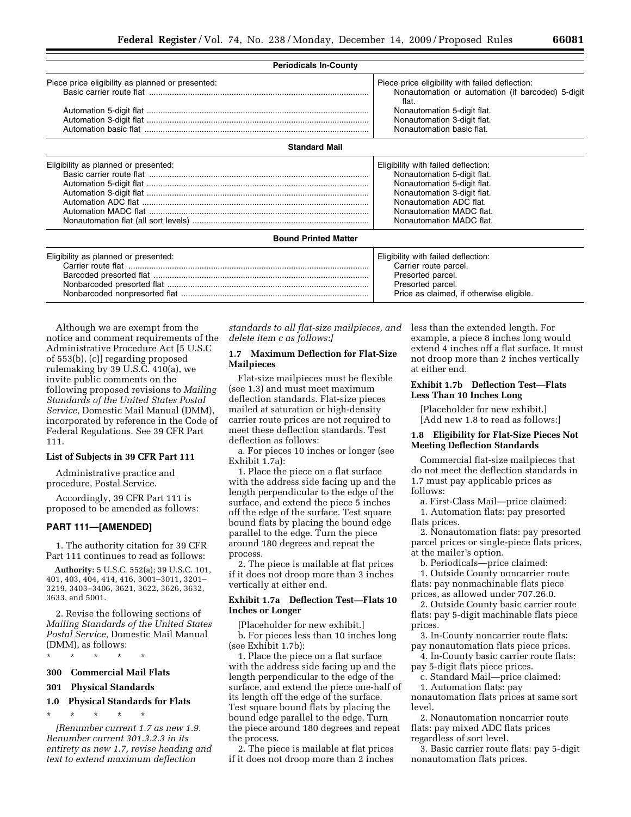| <b>Periodicals In-County</b>                     |                                                                                                               |
|--------------------------------------------------|---------------------------------------------------------------------------------------------------------------|
| Piece price eligibility as planned or presented: | Piece price eligibility with failed deflection:<br>Nonautomation or automation (if barcoded) 5-digit<br>flat. |
|                                                  | Nonautomation 5-digit flat.<br>Nonautomation 3-digit flat.<br>Nonautomation basic flat.                       |
| <b>Standard Mail</b>                             |                                                                                                               |

| Eligibility as planned or presented: | Eligibility with failed deflection: |
|--------------------------------------|-------------------------------------|
|                                      | Nonautomation 5-digit flat.         |
|                                      | Nonautomation 5-digit flat.         |
|                                      | Nonautomation 3-digit flat.         |
|                                      | Nonautomation ADC flat.             |
|                                      | Nonautomation MADC flat.            |
|                                      | Nonautomation MADC flat.            |
|                                      |                                     |

#### **Bound Printed Matter**

| Eligibility as planned or presented: | Eligibility with failed deflection:      |
|--------------------------------------|------------------------------------------|
|                                      | Carrier route parcel.                    |
|                                      | Presorted parcel.                        |
|                                      | Presorted parcel.                        |
|                                      | Price as claimed, if otherwise eligible. |

Although we are exempt from the notice and comment requirements of the Administrative Procedure Act [5 U.S.C of 553(b), (c)] regarding proposed rulemaking by 39 U.S.C. 410(a), we invite public comments on the following proposed revisions to *Mailing Standards of the United States Postal Service,* Domestic Mail Manual (DMM), incorporated by reference in the Code of Federal Regulations. See 39 CFR Part 111.

# **List of Subjects in 39 CFR Part 111**

Administrative practice and procedure, Postal Service.

Accordingly, 39 CFR Part 111 is proposed to be amended as follows:

#### **PART 111—[AMENDED]**

1. The authority citation for 39 CFR Part 111 continues to read as follows:

**Authority:** 5 U.S.C. 552(a); 39 U.S.C. 101, 401, 403, 404, 414, 416, 3001–3011, 3201– 3219, 3403–3406, 3621, 3622, 3626, 3632, 3633, and 5001.

2. Revise the following sections of *Mailing Standards of the United States Postal Service,* Domestic Mail Manual (DMM), as follows:

\* \* \* \* \*

## **300 Commercial Mail Flats**

## **301 Physical Standards**

## **1.0 Physical Standards for Flats**

\* \* \* \* \*

*[Renumber current 1.7 as new 1.9. Renumber current 301.3.2.3 in its entirety as new 1.7, revise heading and text to extend maximum deflection* 

*standards to all flat-size mailpieces, and delete item c as follows:]* 

### **1.7 Maximum Deflection for Flat-Size Mailpieces**

Flat-size mailpieces must be flexible (see 1.3) and must meet maximum deflection standards. Flat-size pieces mailed at saturation or high-density carrier route prices are not required to meet these deflection standards. Test deflection as follows:

a. For pieces 10 inches or longer (see Exhibit 1.7a):

1. Place the piece on a flat surface with the address side facing up and the length perpendicular to the edge of the surface, and extend the piece 5 inches off the edge of the surface. Test square bound flats by placing the bound edge parallel to the edge. Turn the piece around 180 degrees and repeat the process.

2. The piece is mailable at flat prices if it does not droop more than 3 inches vertically at either end.

#### **Exhibit 1.7a Deflection Test—Flats 10 Inches or Longer**

[Placeholder for new exhibit.] b. For pieces less than 10 inches long (see Exhibit 1.7b):

1. Place the piece on a flat surface with the address side facing up and the length perpendicular to the edge of the surface, and extend the piece one-half of its length off the edge of the surface. Test square bound flats by placing the bound edge parallel to the edge. Turn the piece around 180 degrees and repeat the process.

2. The piece is mailable at flat prices if it does not droop more than 2 inches less than the extended length. For example, a piece 8 inches long would extend 4 inches off a flat surface. It must not droop more than 2 inches vertically at either end.

### **Exhibit 1.7b Deflection Test—Flats Less Than 10 Inches Long**

[Placeholder for new exhibit.] [Add new 1.8 to read as follows:]

#### **1.8 Eligibility for Flat-Size Pieces Not Meeting Deflection Standards**

Commercial flat-size mailpieces that do not meet the deflection standards in 1.7 must pay applicable prices as follows:

a. First-Class Mail—price claimed: 1. Automation flats: pay presorted

### flats prices. 2. Nonautomation flats: pay presorted parcel prices or single-piece flats prices, at the mailer's option.

b. Periodicals—price claimed:

1. Outside County noncarrier route flats: pay nonmachinable flats piece prices, as allowed under 707.26.0.

2. Outside County basic carrier route flats: pay 5-digit machinable flats piece prices.

3. In-County noncarrier route flats: pay nonautomation flats piece prices.

4. In-County basic carrier route flats: pay 5-digit flats piece prices.

c. Standard Mail—price claimed: 1. Automation flats: pay

nonautomation flats prices at same sort level.

2. Nonautomation noncarrier route flats: pay mixed ADC flats prices regardless of sort level.

3. Basic carrier route flats: pay 5-digit nonautomation flats prices.